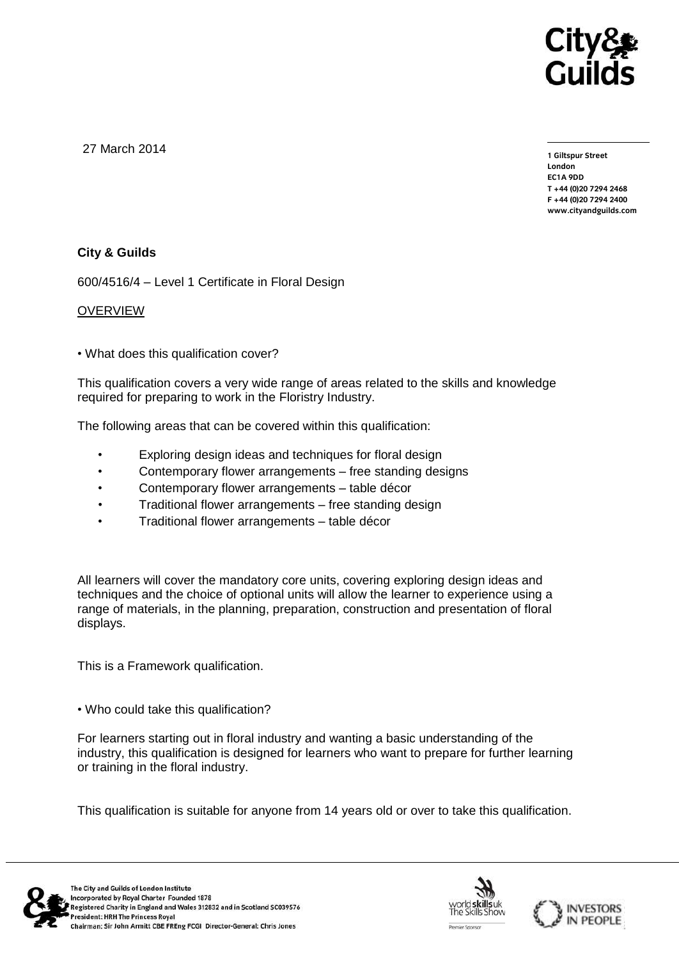

27 March 2014

**1 Giltspur Street EC1A 9DD** T +44 (0) 20 7 294 2468 **T +44 (0)20 7294 2468 F +44 (0)20 7294 2400 [www.cityandguilds.com](http://www.cityandguilds.com/)**

## **City & Guilds**

600/4516/4 – Level 1 Certificate in Floral Design

#### OVERVIEW

• What does this qualification cover?

This qualification covers a very wide range of areas related to the skills and knowledge required for preparing to work in the Floristry Industry.

The following areas that can be covered within this qualification:

- Exploring design ideas and techniques for floral design
- Contemporary flower arrangements free standing designs
- Contemporary flower arrangements table décor
- Traditional flower arrangements free standing design
- Traditional flower arrangements table décor

All learners will cover the mandatory core units, covering exploring design ideas and techniques and the choice of optional units will allow the learner to experience using a range of materials, in the planning, preparation, construction and presentation of floral displays.

This is a Framework qualification.

• Who could take this qualification?

For learners starting out in floral industry and wanting a basic understanding of the industry, this qualification is designed for learners who want to prepare for further learning or training in the floral industry.

This qualification is suitable for anyone from 14 years old or over to take this qualification.